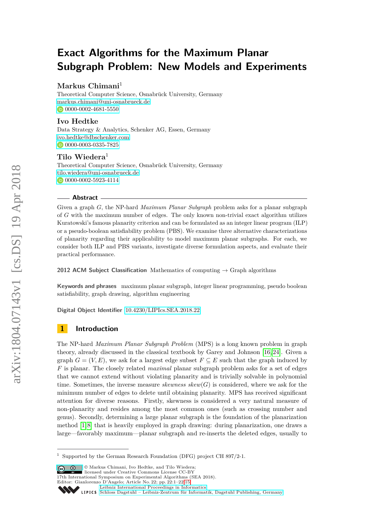# **Exact Algorithms for the Maximum Planar Subgraph Problem: New Models and Experiments**

# **Markus Chimani**<sup>1</sup>

Theoretical Computer Science, Osnabrück University, Germany [markus.chimani@uni-osnabrueck.de](mailto:markus.chimani@uni-osnabrueck.de) 0000002-4681-5550

## **Ivo Hedtke**

Data Strategy & Analytics, Schenker AG, Essen, Germany [ivo.hedtke@dbschenker.com](mailto:ivo.hedtke@dbschenker.com) **D** [0000-0003-0335-7825](http://orcid.org/0000-0003-0335-7825)

## **Tilo Wiedera**<sup>1</sup>

Theoretical Computer Science, Osnabrück University, Germany [tilo.wiedera@uni-osnabrueck.de](mailto:tilo.wiedera@uni-osnabrueck.de) **D** [0000-0002-5923-4114](http://orcid.org/0000-0002-5923-4114)

#### **Abstract**

Given a graph *G*, the NP-hard *Maximum Planar Subgraph* problem asks for a planar subgraph of *G* with the maximum number of edges. The only known non-trivial exact algorithm utilizes Kuratowski's famous planarity criterion and can be formulated as an integer linear program (ILP) or a pseudo-boolean satisfiability problem (PBS). We examine three alternative characterizations of planarity regarding their applicability to model maximum planar subgraphs. For each, we consider both ILP and PBS variants, investigate diverse formulation aspects, and evaluate their practical performance.

**2012 ACM Subject Classification** Mathematics of computing → Graph algorithms

**Keywords and phrases** maximum planar subgraph, integer linear programming, pseudo boolean satisfiability, graph drawing, algorithm engineering

**Digital Object Identifier** [10.4230/LIPIcs.SEA.2018.22](http://dx.doi.org/10.4230/LIPIcs.SEA.2018.22)

# **1 Introduction**

The NP-hard *Maximum Planar Subgraph Problem* (MPS) is a long known problem in graph theory, already discussed in the classical textbook by Garey and Johnson [\[16,](#page-13-0) [24\]](#page-13-1). Given a graph  $G = (V, E)$ , we ask for a largest edge subset  $F \subseteq E$  such that the graph induced by *F* is planar. The closely related *maximal* planar subgraph problem asks for a set of edges that we cannot extend without violating planarity and is trivially solvable in polynomial time. Sometimes, the inverse measure *skewness skew*(*G*) is considered, where we ask for the minimum number of edges to delete until obtaining planarity. MPS has received significant attention for diverse reasons. Firstly, skewness is considered a very natural measure of non-planarity and resides among the most common ones (such as crossing number and genus). Secondly, determining a large planar subgraph is the foundation of the planarization method [\[1,](#page-12-0) [8\]](#page-12-1) that is heavily employed in graph drawing: during planarization, one draws a large—favorably maximum—planar subgraph and re-inserts the deleted edges, usually to

© Markus Chimani, Ivo Hedtke, and Tilo Wiedera;  $\boxed{6}$   $\boxed{0}$ 

licensed under Creative Commons License CC-BY 17th International Symposium on Experimental Algorithms (SEA 2018).

Editor: Gianlorenzo D'Angelo; Article No. 22; pp. 22:1–22[:15](#page-14-0)

<sup>&</sup>lt;sup>1</sup> Supported by the German Research Foundation (DFG) project CH  $897/2$ -1.

[Leibniz International Proceedings in Informatics](http://www.dagstuhl.de/lipics/)

[Schloss Dagstuhl – Leibniz-Zentrum für Informatik, Dagstuhl Publishing, Germany](http://www.dagstuhl.de)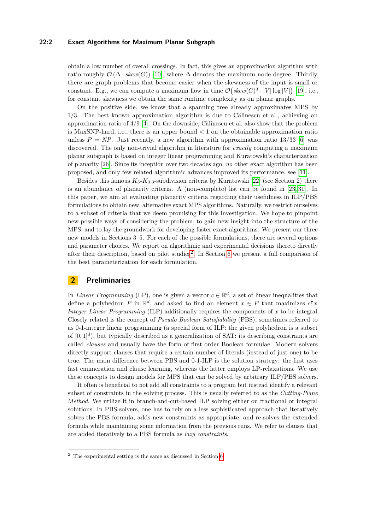## **22:2 Exact Algorithms for Maximum Planar Subgraph**

obtain a low number of overall crossings. In fact, this gives an approximation algorithm with ratio roughly  $\mathcal{O}(\Delta \cdot skew(G))$  [\[10\]](#page-12-2), where  $\Delta$  denotes the maximum node degree. Thirdly, there are graph problems that become easier when the skewness of the input is small or constant. E.g., we can compute a maximum flow in time  $\mathcal{O}(skew(G)^3 \cdot |V| \log |V|)$  [\[19\]](#page-13-2), i.e., for constant skewness we obtain the same runtime complexity as on planar graphs.

On the positive side, we know that a spanning tree already approximates MPS by 1*/*3. The best known approximation algorithm is due to Călinescu et al., achieving an approximation ratio of 4*/*9 [\[4\]](#page-12-3). On the downside, Călinescu et al. also show that the problem is MaxSNP-hard, i.e., there is an upper bound *<* 1 on the obtainable approximation ratio unless  $P = NP$ . Just recently, a new algorithm with approximation ratio 13/33 [\[6\]](#page-12-4) was discovered. The only non-trivial algorithm in literature for *exactly* computing a maximum planar subgraph is based on integer linear programming and Kuratowski's characterization of planarity [\[26\]](#page-13-3). Since its inception over two decades ago, *no* other exact algorithm has been proposed, and only few related algorithmic advances improved its performance, see [\[11\]](#page-12-5).

Besides this famous  $K_5$ - $K_{3,3}$ -subdivision criteria by Kuratowski [\[22\]](#page-13-4) (see Section 2) there is an abundance of planarity criteria. A (non-complete) list can be found in [\[23,](#page-13-5) [31\]](#page-14-1). In this paper, we aim at evaluating planarity criteria regarding their usefulness in ILP/PBS formulations to obtain new, alternative exact MPS algorithms. Naturally, we restrict ourselves to a subset of criteria that we deem promising for this investigation. We hope to pinpoint new possible ways of considering the problem, to gain new insight into the structure of the MPS, and to lay the groundwork for developing faster exact algorithms. We present our three new models in Sections 3–5. For each of the possible formulations, there are several options and parameter choices. We report on algorithmic and experimental decisions thereto directly after their description, based on pilot studies<sup>[2](#page-1-0)</sup>. In Section [6](#page-8-0) we present a full comparison of the best parameterization for each formulation.

## **2 Preliminaries**

In *Linear Programming* (LP), one is given a vector  $c \in \mathbb{R}^d$ , a set of linear inequalities that define a polyhedron *P* in  $\mathbb{R}^d$ , and asked to find an element  $x \in P$  that maximizes  $c^{\intercal}x$ . *Integer Linear Programming* (ILP) additionally requires the components of *x* to be integral. Closely related is the concept of *Pseudo Boolean Satisfiability* (PBS), sometimes referred to as 0-1-integer linear programming (a special form of ILP: the given polyhedron is a subset of  $[0,1]^d$ ), but typically described as a generalization of SAT: its describing constraints are called *clauses* and usually have the form of first order Boolean formulae. Modern solvers directly support clauses that require a certain number of literals (instead of just one) to be true. The main difference between PBS and 0-1-ILP is the solution strategy: the first uses fast enumeration and clause learning, whereas the latter employs LP-relaxations. We use these concepts to design models for MPS that can be solved by arbitrary ILP/PBS solvers.

It often is beneficial to not add all constraints to a program but instead identify a relevant subset of constraints in the solving process. This is usually referred to as the *Cutting-Plane Method*. We utilize it in branch-and-cut-based ILP solving either on fractional or integral solutions. In PBS solvers, one has to rely on a less sophisticated approach that iteratively solves the PBS formula, adds new constraints as appropriate, and re-solves the extended formula while maintaining some information from the previous runs. We refer to clauses that are added iteratively to a PBS formula as *lazy constraints*.

<span id="page-1-0"></span><sup>2</sup> The experimental setting is the same as discussed in Section [6.](#page-8-0)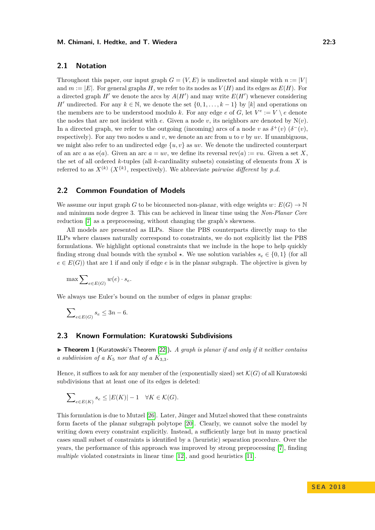## **2.1 Notation**

Throughout this paper, our input graph  $G = (V, E)$  is undirected and simple with  $n := |V|$ and  $m := |E|$ . For general graphs *H*, we refer to its nodes as  $V(H)$  and its edges as  $E(H)$ . For a directed graph  $H'$  we denote the arcs by  $A(H')$  and may write  $E(H')$  whenever considering *H*<sup> $\prime$ </sup> undirected. For any  $k \in \mathbb{N}$ , we denote the set  $\{0, 1, \ldots, k-1\}$  by  $[k]$  and operations on the members are to be understood modulo *k*. For any edge *e* of *G*, let  $V^e := V \setminus e$  denote the nodes that are not incident with  $e$ . Given a node  $v$ , its neighbors are denoted by  $N(v)$ . In a directed graph, we refer to the outgoing (incoming) arcs of a node *v* as  $\delta^+(v)$  ( $\delta^-(v)$ , respectively). For any two nodes *u* and *v*, we denote an arc from *u* to *v* by *uv*. If unambiguous, we might also refer to an undirected edge  $\{u, v\}$  as *uv*. We denote the undirected counterpart of an arc *a* as e(*a*). Given an arc  $a = uv$ , we define its reversal rev(*a*) := *vu*. Given a set *X*. the set of all ordered *k*-tuples (all *k*-cardinality subsets) consisting of elements from *X* is referred to as  $X^{(k)}$  ( $X^{\{k\}}$ , respectively). We abbreviate *pairwise different* by p.d.

# **2.2 Common Foundation of Models**

We assume our input graph *G* to be biconnected non-planar, with edge weights  $w: E(G) \to \mathbb{N}$ and minimum node degree 3. This can be achieved in linear time using the *Non-Planar Core* reduction [\[7\]](#page-12-6) as a preprocessing, without changing the graph's skewness.

All models are presented as ILPs. Since the PBS counterparts directly map to the ILPs where clauses naturally correspond to constraints, we do not explicitly list the PBS formulations. We highlight optional constraints that we include in the hope to help quickly finding strong dual bounds with the symbol  $\star$ . We use solution variables  $s_e \in \{0,1\}$  (for all  $e \in E(G)$ ) that are 1 if and only if edge *e* is in the planar subgraph. The objective is given by

$$
\max \sum\nolimits_{e \in E(G)} w(e) \cdot s_e.
$$

We always use Euler's bound on the number of edges in planar graphs:

$$
\sum\nolimits_{e\in E(G)} s_e \leq 3n-6.
$$

## **2.3 Known Formulation: Kuratowski Subdivisions**

▶ **Theorem 1** (Kuratowski's Theorem [\[22\]](#page-13-4)). *A graph is planar if and only if it neither contains a subdivision of a*  $K_5$  *nor that of a*  $K_{3,3}$ *.* 

Hence, it suffices to ask for any member of the (exponentially sized) set  $\mathcal{K}(G)$  of all Kuratowski subdivisions that at least one of its edges is deleted:

$$
\sum\nolimits_{e\in E(K)} s_e \le |E(K)| - 1 \quad \forall K\in \mathcal{K}(G).
$$

This formulation is due to Mutzel [\[26\]](#page-13-3). Later, Jünger and Mutzel showed that these constraints form facets of the planar subgraph polytope [\[20\]](#page-13-6). Clearly, we cannot solve the model by writing down every constraint explicitly. Instead, a sufficiently large but in many practical cases small subset of constraints is identified by a (heuristic) separation procedure. Over the years, the performance of this approach was improved by strong preprocessing [\[7\]](#page-12-6), finding *multiple* violated constraints in linear time [\[12\]](#page-12-7), and good heuristics [\[11\]](#page-12-5).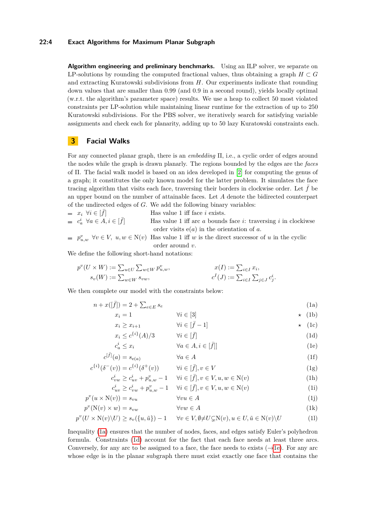## **22:4 Exact Algorithms for Maximum Planar Subgraph**

**Algorithm engineering and preliminary benchmarks.** Using an ILP solver, we separate on LP-solutions by rounding the computed fractional values, thus obtaining a graph  $H \subset G$ and extracting Kuratowski subdivisions from *H*. Our experiments indicate that rounding down values that are smaller than 0*.*99 (and 0*.*9 in a second round), yields locally optimal (w.r.t. the algorithm's parameter space) results. We use a heap to collect 50 most violated constraints per LP-solution while maintaining linear runtime for the extraction of up to 250 Kuratowski subdivisions. For the PBS solver, we iteratively search for satisfying variable assignments and check each for planarity, adding up to 50 lazy Kuratowski constraints each.

# **3 Facial Walks**

For any connected planar graph, there is an *embedding* Π, i.e., a cyclic order of edges around the nodes while the graph is drawn planarly. The regions bounded by the edges are the *faces* of Π. The facial walk model is based on an idea developed in [\[2\]](#page-12-8) for computing the genus of a graph; it constitutes the only known model for the latter problem. It simulates the face tracing algorithm that visits each face, traversing their borders in clockwise order. Let  $\bar{f}$  be an upper bound on the number of attainable faces. Let *A* denote the bidirected counterpart of the undirected edges of *G*. We add the following binary variables:

\n- \n
$$
x_i \, \forall i \in [\bar{f}]
$$
\n
\n- \n $c_a^i \, \forall a \in A, i \in [\bar{f}]$ \n
\n- \n Has value 1 iff  $a$  bounds  $a$  is  $i$ : traversing  $i$  in clockwise order visits  $e(a)$  in the orientation of  $a$ .\n
\n

 $p_{u,w}^v \ \forall v \in V$ ,  $u, w \in N(v)$  Has value 1 iff *w* is the direct successor of *u* in the cyclic order around *v*.

We define the following short-hand notations:

$$
p^{v}(U \times W) := \sum_{u \in U} \sum_{w \in W} p^{v}_{u,w}, \qquad x(I) := \sum_{i \in I} x_i,
$$
  
\n
$$
s_{v}(W) := \sum_{w \in W} s_{vw}, \qquad s^{I}(J) := \sum_{i \in I} \sum_{j \in J} c^{i}_{j}.
$$

We then complete our model with the constraints below:

$$
n + x([\bar{f}]) = 2 + \sum_{e \in E} s_e \tag{1a}
$$

$$
x_i = 1 \qquad \qquad \forall i \in [3] \qquad \qquad \star \quad (1b)
$$

$$
x_i \ge x_{i+1} \qquad \qquad \forall i \in [\bar{f} - 1] \qquad \qquad \star \quad (1c)
$$

<span id="page-3-11"></span><span id="page-3-10"></span><span id="page-3-4"></span><span id="page-3-3"></span><span id="page-3-2"></span><span id="page-3-1"></span><span id="page-3-0"></span>
$$
x_i \le c^{\{i\}}(A)/3 \qquad \forall i \in [\bar{f}]
$$
  
\n
$$
c_a^i \le x_i \qquad \forall a \in A, i \in [\bar{f}]]
$$
\n(1d)\n  
\n(1e)

$$
c^{[\bar{f}]}(a) = s_{e(a)} \qquad \qquad \forall a \in A \tag{1f}
$$

$$
c^{\{i\}}(\delta^-(v)) = c^{\{i\}}(\delta^+(v)) \qquad \forall i \in [\bar{f}], v \in V
$$
\n(1g)

$$
c_{vw}^i \ge c_{uv}^i + p_{u,w}^v - 1 \qquad \forall i \in [\bar{f}], v \in V, u, w \in N(v)
$$
  

$$
c_{vw}^i \ge c_{uv}^i + n_{v,w}^v - 1 \qquad \forall i \in [\bar{f}], v \in V, u, w \in N(v)
$$
 (1i)

<span id="page-3-9"></span><span id="page-3-8"></span><span id="page-3-7"></span><span id="page-3-6"></span><span id="page-3-5"></span>
$$
c_{uv}^i \ge c_{vw}^i + p_{u,w}^v - 1 \quad \forall i \in [\bar{f}], v \in V, u, w \in N(v)
$$
 (1i)

$$
p^{v}(u \times \mathcal{N}(v)) = s_{vu} \qquad \forall vu \in A
$$
\n
$$
p^{v}(\mathcal{N}(v) \times w) = s_{uv} \qquad \forall w \in A
$$
\n
$$
(11)
$$

$$
p^v(\mathcal{N}(v) \times w) = s_{vw} \qquad \qquad \forall vw \in A \tag{1k}
$$

$$
p^{v}(U \times \mathcal{N}(v)\backslash U) \ge s_{v}(\{u, \tilde{u}\}) - 1 \qquad \forall v \in V, \emptyset \neq U \subsetneq \mathcal{N}(v), u \in U, \tilde{u} \in \mathcal{N}(v)\backslash U \tag{11}
$$

Inequality [\(1a\)](#page-3-0) ensures that the number of nodes, faces, and edges satisfy Euler's polyhedron formula. Constraints [\(1d\)](#page-3-1) account for the fact that each face needs at least three arcs. Conversely, for any arc to be assigned to a face, the face needs to exists  $(\rightarrow 1e)$  $(\rightarrow 1e)$ . For any arc whose edge is in the planar subgraph there must exist exactly one face that contains the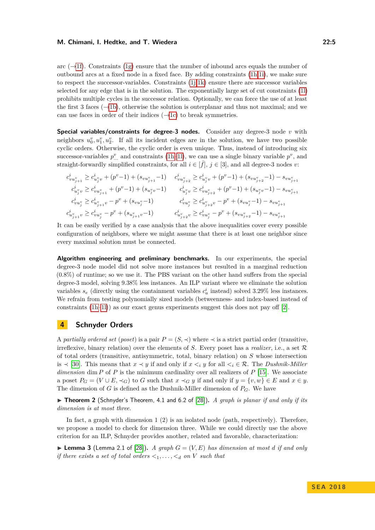arc  $(\rightarrow 1f)$  $(\rightarrow 1f)$ . Constraints [\(1g\)](#page-3-4) ensure that the number of inbound arcs equals the number of outbound arcs at a fixed node in a fixed face. By adding constraints [\(1h,](#page-3-5)[1i\)](#page-3-6), we make sure to respect the successor-variables. Constraints  $(1,1k)$  $(1,1k)$  ensure there are successor variables selected for any edge that is in the solution. The exponentially large set of cut constraints [\(1l\)](#page-3-9) prohibits multiple cycles in the successor relation. Optionally, we can force the use of at least the first 3 faces  $(\rightarrow 1b)$  $(\rightarrow 1b)$ , otherwise the solution is outerplanar and thus not maximal; and we can use faces in order of their indices  $(\rightarrow 1c)$  $(\rightarrow 1c)$  to break symmetries.

**Special variables/constraints for degree-3 nodes.** Consider any degree-3 node *v* with neighbors  $u_0^v, u_1^v, u_2^v$ . If all its incident edges are in the solution, we have two possible cyclic orders. Otherwise, the cyclic order is even unique. Thus, instead of introducing six successor-variables  $p^v_{\ldots}$  and constraints [\(1h–](#page-3-5)[1l\)](#page-3-9), we can use a single binary variable  $p^v$ , and straight-forwardly simplified constraints, for all  $i \in [\bar{f}], j \in [3]$ , and all degree-3 nodes *v*:

$$
\begin{aligned} &c_{vu_{j+1}^v}^i \geq c_{u_j^v}^i+(p^v-1)+(s_{vu_{j+1}^v}-1) \quad c_{vu_{j+2}^v}^i \geq c_{u_j^vv}^i+(p^v-1)+(s_{vu_{j+2}^v}-1)-s_{vu_{j+1}^v}\\ &c_{u_j^vv}^i \geq c_{vu_{j+1}^v}^i+(p^v-1)+(s_{u_j^vv}-1) \quad &c_{u_j^vv}^i \geq c_{vu_{j+2}^v}^i+(p^v-1)+(s_{u_j^vv}-1)-s_{vu_{j+1}^v}\\ &c_{vu_j^v}^i \geq c_{u_{j+1}^v}^i-p^v+(s_{vu_j^v}-1) \quad &c_{vu_j^v}^i \geq c_{u_{j+2}^v}^i-p^v+(s_{vu_j^v}-1)-s_{vu_{j+1}^v}\\ &c_{u_{j+1}^v}^i \geq c_{vu_j^v}^i-p^v+(s_{u_{j+1}^v} -1) \quad &c_{u_{j+2}^v}^i \geq c_{vu_j^v}^i-p^v+(s_{vu_{j+2}^v}-1)-s_{vu_{j+1}^v}\\ \end{aligned}
$$

It can be easily verified by a case analysis that the above inequalities cover every possible configuration of neighbors, where we might assume that there is at least one neighbor since every maximal solution must be connected.

**Algorithm engineering and preliminary benchmarks.** In our experiments, the special degree-3 node model did not solve more instances but resulted in a marginal reduction (0.8%) of runtime; so we use it. The PBS variant on the other hand suffers from the special degree-3 model, solving 9.38% less instances. An ILP variant where we eliminate the solution variables  $s_e$  (directly using the containment variables  $c_a^i$  instead) solved 3.29% less instances. We refrain from testing polynomially sized models (betweenness- and index-based instead of constraints  $(1h-11)$  as our exact genus experiments suggest this does not pay off [\[2\]](#page-12-8).

# **4 Schnyder Orders**

A *partially ordered set* (*poset*) is a pair  $P = (S, \prec)$  where  $\prec$  is a strict partial order (transitive, irreflexive, binary relation) over the elements of *S*. Every poset has a *realizer*, i.e., a set  $\mathcal{R}$ of total orders (transitive, antisymmetric, total, binary relation) on *S* whose intersection is ≺ [\[30\]](#page-14-2). This means that *x* ≺ *y* if and only if *x <<sup>i</sup> y* for all *<<sup>i</sup>* ∈ R. The *Dushnik-Miller dimension* dim *P* of *P* is the minimum cardinality over all realizers of *P* [\[15\]](#page-13-7). We associate a poset  $P_G = (V \cup E, \prec_G)$  to *G* such that  $x \prec_G y$  if and only if  $y = \{v, w\} \in E$  and  $x \in y$ . The dimension of *G* is defined as the Dushnik-Miller dimension of *PG*. We have

<span id="page-4-0"></span>▶ Theorem 2 (Schnyder's Theorem, 4.1 and 6.2 of [\[28\]](#page-13-8)). *A graph is planar if and only if its dimension is at most three.*

In fact, a graph with dimension 1 (2) is an isolated node (path, respectively). Therefore, we propose a model to check for dimension three. While we could directly use the above criterion for an ILP, Schnyder provides another, related and favorable, characterization:

**Example 3** (Lemma 2.1 of [\[28\]](#page-13-8)). A graph  $G = (V, E)$  has dimension at most *d* if and only *if there exists a set of total orders*  $\lt_1, \ldots, \lt_d$  *on V such that*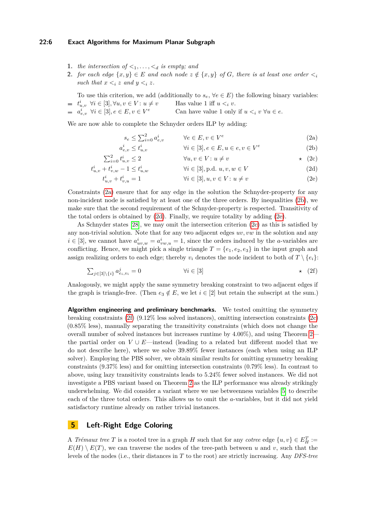#### **22:6 Exact Algorithms for Maximum Planar Subgraph**

- **1.** *the intersection of*  $\lt_1, \ldots, \lt_d$  *is empty; and*
- **2.** *for each edge*  $\{x, y\} \in E$  *and each node*  $z \notin \{x, y\}$  *of G, there is at least one order*  $\lt_i$ *such that*  $x \leq_i z$  *and*  $y \leq_i z$ *.*

To use this criterion, we add (additionally to  $s_e$ ,  $\forall e \in E$ ) the following binary variables:  $t_{u,v}^i$   $\forall i \in [3], \forall u, v \in V: u \neq v$  Has value 1 iff  $u \lt_i v$ .

 $a_{e,v}^i$   $\forall i \in [3], e \in E, v \in V$ *Can have value 1 only if*  $u \lt_i v \ \forall u \in e$ *.* 

We are now able to complete the Schnyder orders ILP by adding:

<span id="page-5-4"></span><span id="page-5-3"></span><span id="page-5-2"></span><span id="page-5-1"></span><span id="page-5-0"></span>
$$
s_e \le \sum_{i=0}^2 a_{e,v}^i \qquad \forall e \in E, v \in V^e \tag{2a}
$$

$$
a_{e,v}^i \le t_{u,v}^i \qquad \qquad \forall i \in [3], e \in E, u \in e, v \in V^e \tag{2b}
$$

$$
\sum_{i=0}^{2} t_{u,v}^{i} \le 2 \qquad \qquad \forall u, v \in V: u \ne v \qquad \qquad \star \quad (2c)
$$

$$
t_{u,v}^i + t_{v,w}^i - 1 \le t_{u,w}^i \qquad \qquad \forall i \in [3], \text{p.d. } u, v, w \in V \tag{2d}
$$

$$
t_{u,v}^i + t_{v,u}^i = 1 \qquad \qquad \forall i \in [3], u, v \in V: u \neq v \tag{2e}
$$

Constraints [\(2a\)](#page-5-0) ensure that for any edge in the solution the Schnyder-property for any non-incident node is satisfied by at least one of the three orders. By inequalities [\(2b\)](#page-5-1), we make sure that the second requirement of the Schnyder-property is respected. Transitivity of the total orders is obtained by [\(2d\)](#page-5-2). Finally, we require totality by adding [\(2e\)](#page-5-3).

As Schnyder states [\[28\]](#page-13-8), we may omit the intersection criterion [\(2c\)](#page-5-4) as this is satisfied by any non-trivial solution. Note that for any two adjacent edges *uv, vw* in the solution and any  $i \in [3]$ , we cannot have  $a_{uv,w}^i = a_{vw,u}^i = 1$ , since the orders induced by the *a*-variables are conflicting. Hence, we might pick a single triangle  $T = \{e_1, e_2, e_3\}$  in the input graph and assign realizing orders to each edge; thereby  $v_i$  denotes the node incident to both of  $T \setminus \{e_i\}$ :

<span id="page-5-5"></span>
$$
\sum_{j \in [3] \setminus \{i\}} a_{e_i, v_i}^j = 0 \qquad \qquad \forall i \in [3] \qquad \qquad \star \quad (2f)
$$

Analogously, we might apply the same symmetry breaking constraint to two adjacent edges if the graph is triangle-free. (Then  $e_3 \notin E$ , we let  $i \in [2]$  but retain the subscript at the sum.)

**Algorithm engineering and preliminary benchmarks.** We tested omitting the symmetry breaking constraints [\(2f\)](#page-5-5) (9.12% less solved instances), omitting intersection constraints [\(2c\)](#page-5-4) (0.85% less), manually separating the transitivity constraints (which does not change the overall number of solved instances but increases runtime by  $4.00\%$ ), and using Theorem [2](#page-4-0) the partial order on  $V \cup E$ —instead (leading to a related but different model that we do not describe here), where we solve 39.89% fewer instances (each when using an ILP solver). Employing the PBS solver, we obtain similar results for omitting symmetry breaking constraints (9.37% less) and for omitting intersection constraints (0.79% less). In contrast to above, using lazy transitivity constraints leads to 5.24% fewer solved instances. We did not investigate a PBS variant based on Theorem [2](#page-4-0) as the ILP performance was already strikingly underwhelming. We did consider a variant where we use betweenness variables [\[5\]](#page-12-9) to describe each of the three total orders. This allows us to omit the *a*-variables, but it did not yield satisfactory runtime already on rather trivial instances.

# **5 Left-Right Edge Coloring**

A *Trémaux tree T* is a rooted tree in a graph *H* such that for any *cotree* edge  $\{u, v\} \in E_H^T :=$  $E(H) \setminus E(T)$ , we can traverse the nodes of the tree-path between *u* and *v*, such that the levels of the nodes (i.e., their distances in *T* to the root) are strictly increasing. Any *DFS-tree*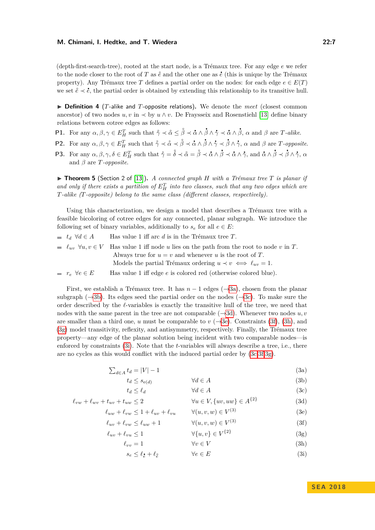(depth-first-search-tree), rooted at the start node, is a Trémaux tree. For any edge *e* we refer to the node closer to the root of *T* as  $\mathring{e}$  and the other one as  $\mathring{e}$  (this is unique by the Trémaux property). Any Trémaux tree *T* defines a partial order on the nodes: for each edge  $e \in E(T)$ we set  $\hat{e} \prec \hat{e}$ , the partial order is obtained by extending this relationship to its transitive hull.

▶ Definition 4 (*T*-alike and *T*-opposite relations). We denote the *meet* (closest common ancestor) of two nodes  $u, v$  in  $\prec$  by  $u \wedge v$ . De Fraysseix and Rosenstiehl [\[13\]](#page-13-9) define binary relations between cotree edges as follows:

- **P1.** For any  $\alpha, \beta, \gamma \in E_H^T$  such that  $\overset{\circ}{\gamma} \prec \overset{\circ}{\alpha} \leq \overset{\circ}{\beta} \prec \overset{\star}{\alpha} \wedge \overset{\star}{\beta} \wedge \overset{\star}{\gamma} \prec \overset{\star}{\alpha} \wedge \overset{\star}{\beta}$ ,  $\alpha$  and  $\beta$  are *T-alike*.
- **P2.** For any  $\alpha, \beta, \gamma \in E_H^T$  such that  $\overset{\circ}{\gamma} \prec \overset{\circ}{\alpha} \prec \overset{\circ}{\beta} \prec \overset{\star}{\alpha} \wedge \overset{\star}{\beta} \wedge \overset{\star}{\gamma} \prec \overset{\star}{\beta} \wedge \overset{\star}{\gamma}$ ,  $\alpha$  and  $\beta$  are T-opposite.
- **P3.** For any  $\alpha, \beta, \gamma, \delta \in E_H^T$  such that  $\overset{\circ}{\gamma} = \overset{\circ}{\delta} \prec \overset{\circ}{\alpha} = \overset{\circ}{\beta} \prec \overset{\star}{\alpha} \wedge \overset{\star}{\beta} \prec \overset{\star}{\alpha} \wedge \overset{\star}{\gamma}$ , and  $\overset{\star}{\alpha} \wedge \overset{\star}{\beta} \prec \overset{\star}{\beta} \wedge \overset{\star}{\gamma}$ ,  $\alpha$ and *β* are *T-opposite*.

 $\triangleright$  **Theorem 5** (Section 2 of [\[13\]](#page-13-9)). A connected graph *H* with a Trémaux tree *T* is planar if and only if there exists a partition of  $E_H^T$  into two classes, such that any two edges which are *T-alike (T-opposite) belong to the same class (different classes, respectively).*

Using this characterization, we design a model that describes a Trémaux tree with a feasible bicoloring of cotree edges for any connected, planar subgraph. We introduce the following set of binary variables, additionally to  $s_e$  for all  $e \in E$ :

 $\bullet$  *t<sub>d</sub>*  $\forall d \in A$  Has value 1 iff arc *d* is in the Trémaux tree *T*.  $\ell_{uv}$   $\forall u, v \in V$  Has value 1 iff node *u* lies on the path from the root to node *v* in *T*. Always true for  $u = v$  and whenever  $u$  is the root of  $T$ . Models the partial Trémaux ordering  $u \prec v \iff \ell_{uv} = 1$ .  $r_e \ \forall e \in E$  Has value 1 iff edge *e* is colored red (otherwise colored blue).

First, we establish a Trémaux tree. It has  $n-1$  edges ( $\rightarrow$ [3a\)](#page-6-0), chosen from the planar subgraph  $(\rightarrow 3b)$  $(\rightarrow 3b)$ . Its edges seed the partial order on the nodes  $(\rightarrow 3c)$  $(\rightarrow 3c)$ . To make sure the order described by the  $\ell$ -variables is exactly the transitive hull of the tree, we need that nodes with the same parent in the tree are not comparable  $(\rightarrow 3d)$  $(\rightarrow 3d)$ . Whenever two nodes  $u, v$ are smaller than a third one, *u* must be comparable to  $v \rightarrow 3e$ ). Constraints [\(3f\)](#page-6-5), [\(3h\)](#page-6-6), and [\(3g\)](#page-6-7) model transitivity, reflexity, and antisymmetry, respectively. Finally, the Trémaux tree property—any edge of the planar solution being incident with two comparable nodes—is enforced by constraints [\(3i\)](#page-6-8). Note that the *t*-variables will always describe a tree, i.e., there are no cycles as this would conflict with the induced partial order by [\(3c,](#page-6-2)[3f,](#page-6-5)[3g\)](#page-6-7).

$$
\sum_{d \in A} t_d = |V| - 1 \tag{3a}
$$

$$
t_d \le s_{e(d)} \qquad \qquad \forall d \in A \tag{3b}
$$

<span id="page-6-0"></span>
$$
t_d \le \ell_d \qquad \qquad \forall d \in A \tag{3c}
$$

$$
\ell_{vw} + \ell_{wv} + t_{uv} + t_{uw} \le 2 \qquad \qquad \forall u \in V, \{uv, uw\} \in A^{\{2\}} \tag{3d}
$$

$$
\ell_{uw} + \ell_{vw} \le 1 + \ell_{uv} + \ell_{vu} \qquad \forall (u, v, w) \in V^{(3)} \tag{3e}
$$

$$
\ell_{uv} + \ell_{vw} \le \ell_{uw} + 1 \qquad \forall (u, v, w) \in V^{(3)} \tag{3f}
$$

$$
\ell_{uv} + \ell_{vu} \le 1 \qquad \qquad \forall \{u, v\} \in V^{\{2\}} \tag{3g}
$$

- <span id="page-6-3"></span><span id="page-6-2"></span><span id="page-6-1"></span> $\ell_{vv} = 1$   $\forall v \in V$  (3h)
- <span id="page-6-8"></span><span id="page-6-7"></span><span id="page-6-6"></span><span id="page-6-5"></span><span id="page-6-4"></span> $s_e \leq \ell_e + \ell_e$  $\forall e \in E$  (3i)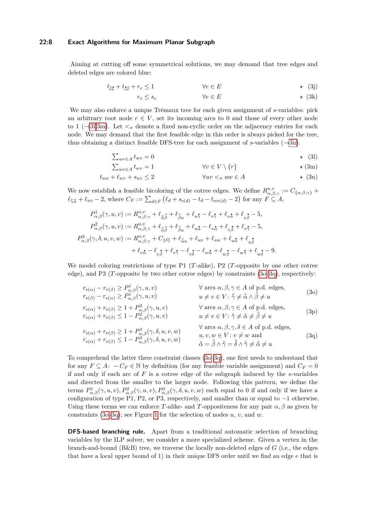#### **22:8 Exact Algorithms for Maximum Planar Subgraph**

Aiming at cutting off some symmetrical solutions, we may demand that tree edges and deleted edges are colored blue:

$$
t_{ee}^{\bullet} + t_{ee}^{\bullet} + r_e \le 1 \qquad \forall e \in E \qquad \star \quad (3)
$$

$$
r_e \le s_e \qquad \qquad \forall e \in E \qquad \qquad \star \quad (3k)
$$

We may also enforce a unique Trémaux tree for each given assignment of *s*-variables: pick an arbitrary root node  $r \in V$ , set its incoming arcs to 0 and those of every other node to 1 ( $\rightarrow$ [3l,](#page-7-0)[3m\)](#page-7-1). Let  $\lt_{\pi}$  denote a fixed non-cyclic order on the adjacency entries for each node. We may demand that the first feasible edge in this order is always picked for the tree, thus obtaining a distinct feasible DFS-tree for each assignment of *s*-variables  $(\rightarrow 3n)$  $(\rightarrow 3n)$ .

<span id="page-7-2"></span><span id="page-7-1"></span><span id="page-7-0"></span>
$$
\sum_{wr \in A} t_{wv} = 0 \qquad \qquad \star \quad (31)
$$

$$
\sum_{wv \in A} t_{wv} = 1 \qquad \qquad \forall v \in V \setminus \{r\} \qquad \qquad \star (3m)
$$

$$
t_{uw} + \ell_{wv} + s_{uv} \le 2 \qquad \qquad \forall uv <_{\pi} uw \in A \qquad \qquad \star \tag{3n}
$$

We now establish a feasible bicoloring of the cotree edges. We define  $R_{\alpha,\beta,\gamma}^{u,v} := C_{\{\alpha,\beta,\gamma\}} + C_{\{\alpha,\beta,\gamma\}}$  $\ell_{\gamma\alpha}^{\circ\circ} + \ell_{uv} - 2$ , where  $C_F := \sum_{d \in F} (\ell_d + s_{e(d)} - t_d - t_{rev(d)} - 2)$  for any  $F \subseteq A$ .

$$
P_{\alpha,\beta}^{1}(\gamma, u, v) := R_{\alpha,\beta,\gamma}^{u,v} + \ell_{\alpha\beta}^{u,v} + \ell_{\omega\gamma}^{u,v} - \ell_{v\gamma}^{u,v} + \ell_{v\alpha}^{u,v} + \ell_{v\beta}^{u,v} - 5,
$$
  
\n
$$
P_{\alpha,\beta}^{2}(\gamma, u, v) := R_{\alpha,\beta,\gamma}^{u,v} + \ell_{\alpha\beta}^{u,v} + \ell_{\beta u}^{u,v} + \ell_{u\alpha}^{u,v} - \ell_{v\alpha}^{u,v} + \ell_{v\gamma}^{u,v} - 5,
$$
  
\n
$$
P_{\alpha,\beta}^{3}(\gamma, \delta, u, v, w) := R_{\alpha,\beta,\gamma}^{u,v} + C_{\{\delta\}} + \ell_{\alpha u}^{u,v} + \ell_{uv}^{u,v} + \ell_{u\alpha}^{u,v} + \ell_{u\beta}^{u,v} + \ell_{v\gamma}^{u,v} - \ell_{v\gamma}^{u,v} - \ell_{v\gamma}^{u,v} - \ell_{w\gamma}^{u,v} + \ell_{w\gamma}^{u,v} - 9.
$$

We model coloring restrictions of type P1 (*T*-alike), P2 (*T*-opposite by one other cotree edge), and P3 (*T*-opposite by two other cotree edges) by constraints [\(3o–](#page-7-3)[3q\)](#page-7-4), respectively:

<span id="page-7-4"></span><span id="page-7-3"></span>

| $r_{e(\alpha)} - r_{e(\beta)} \ge P^1_{\alpha,\beta}(\gamma, u, v)$             | $\forall$ arcs $\alpha, \beta, \gamma \in A$ of p.d. edges,                                                                                | $\left( 3\text{o} \right)$ |
|---------------------------------------------------------------------------------|--------------------------------------------------------------------------------------------------------------------------------------------|----------------------------|
| $r_{e(\beta)} - r_{e(\alpha)} \geq P_{\alpha,\beta}^1(\gamma,u,v)$              | $u \neq v \in V: \hat{\gamma} \neq \hat{\alpha} \wedge \hat{\beta} \neq u$                                                                 |                            |
| $r_{e(\alpha)} + r_{e(\beta)} \geq 1 + P_{\alpha,\beta}^2(\gamma, u, v)$        | $\forall \arcsin \alpha, \beta, \gamma \in A \text{ of p.d. edges,}$                                                                       | $^{(3{\rm p})}$            |
| $r_{e(\alpha)} + r_{e(\beta)} \leq 1 - P_{\alpha,\beta}^2(\gamma, u, v)$        | $u \neq v \in V: \mathring{\gamma} \neq \mathring{\alpha} \neq \mathring{\beta} \neq u$                                                    |                            |
|                                                                                 | $\forall \text{ arcs } \alpha, \beta, \gamma, \delta \in A \text{ of } p.d. \text{ edges},$                                                |                            |
| $r_{e(\alpha)} + r_{e(\beta)} \geq 1 + P^3_{\alpha,\beta}(\gamma,\delta,u,v,w)$ | $u, v, w \in V: v \neq w$ and                                                                                                              | (3q)                       |
| $r_{e(\alpha)} + r_{e(\beta)} \leq 1 - P^3_{\alpha,\beta}(\gamma,\delta,u,v,w)$ | $\mathring{\alpha} = \mathring{\beta} \wedge \mathring{\gamma} = \mathring{\delta} \wedge \mathring{\gamma} \neq \mathring{\alpha} \neq u$ |                            |

To comprehend the latter three constraint classes [\(3o–](#page-7-3)[3q\)](#page-7-4), one first needs to understand that for any  $F \subseteq A: -C_F \in \mathbb{N}$  by definition (for any feasible variable assignment) and  $C_F = 0$ if and only if each arc of *F* is a cotree edge of the subgraph induced by the *s*-variables and directed from the smaller to the larger node. Following this pattern, we define the terms  $P_{\alpha,\beta}^1(\gamma,u,v), P_{\alpha,\beta}^2(\gamma,u,v), P_{\alpha,\beta}^3(\gamma,\delta,u,v,w)$  each equal to 0 if and only if we have a configuration of type P1, P2, or P3, respectively, and smaller than or equal to −1 otherwise. Using these terms we can enforce *T*-alike- and *T*-oppositeness for any pair  $\alpha$ ,  $\beta$  as given by constraints [\(3o](#page-7-3)[–3q\)](#page-7-4); see Figure [1](#page-8-1) for the selection of nodes *u*, *v*, and *w*.

**DFS-based branching rule.** Apart from a traditional automatic selection of branching variables by the ILP solver, we consider a more specialized scheme. Given a vertex in the branch-and-bound (B&B) tree, we traverse the locally non-deleted edges of *G* (i.e., the edges that have a local upper bound of 1) in their unique DFS order until we find an edge *e* that is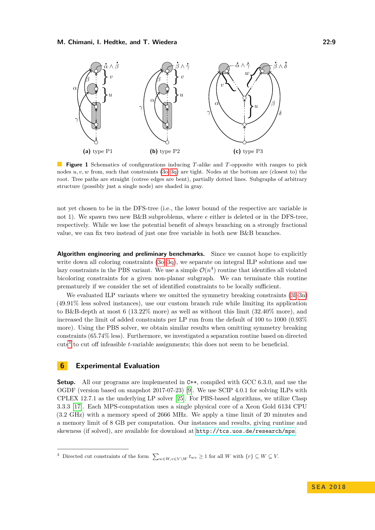<span id="page-8-1"></span>

**Figure 1** Schematics of configurations inducing *T*-alike and *T*-opposite with ranges to pick nodes  $u, v, w$  from, such that constraints  $(3o-3q)$  $(3o-3q)$  are tight. Nodes at the bottom are (closest to) the root. Tree paths are straight (cotree edges are bent), partially dotted lines. Subgraphs of arbitrary structure (possibly just a single node) are shaded in gray.

not yet chosen to be in the DFS-tree (i.e., the lower bound of the respective arc variable is not 1). We spawn two new B&B subproblems, where *e* either is deleted or in the DFS-tree, respectively. While we lose the potential benefit of always branching on a strongly fractional value, we can fix two instead of just one free variable in both new B&B branches.

**Algorithm engineering and preliminary benchmarks.** Since we cannot hope to explicitly write down all coloring constraints  $(3o-3q)$  $(3o-3q)$ , we separate on integral ILP solutions and use lazy constraints in the PBS variant. We use a simple  $\mathcal{O}(n^4)$  routine that identifies all violated bicoloring constraints for a given non-planar subgraph. We can terminate this routine prematurely if we consider the set of identified constraints to be locally sufficient.

We evaluated ILP variants where we omitted the symmetry breaking constraints  $(3l-3n)$  $(3l-3n)$ (49.91% less solved instances), use our custom branch rule while limiting its application to B&B-depth at most 6 (13.22% more) as well as without this limit (32.40% more), and increased the limit of added constraints per LP run from the default of 100 to 1000 (0.93% more). Using the PBS solver, we obtain similar results when omitting symmetry breaking constraints (65.74% less). Furthermore, we investigated a separation routine based on directed cuts[3](#page-8-2) to cut off infeasible *t*-variable assignments; this does not seem to be beneficial.

## <span id="page-8-0"></span>**6 Experimental Evaluation**

**Setup.** All our programs are implemented in C++, compiled with GCC 6.3.0, and use the OGDF (version based on snapshot 2017-07-23) [\[9\]](#page-12-10). We use SCIP 4.0.1 for solving ILPs with CPLEX 12.7.1 as the underlying LP solver [\[25\]](#page-13-10). For PBS-based algorithms, we utilize Clasp 3.3.3 [\[17\]](#page-13-11). Each MPS-computation uses a single physical core of a Xeon Gold 6134 CPU (3.2 GHz) with a memory speed of 2666 MHz. We apply a time limit of 20 minutes and a memory limit of 8 GB per computation. Our instances and results, giving runtime and skewness (if solved), are available for download at <http://tcs.uos.de/research/mps>.

<span id="page-8-2"></span><sup>&</sup>lt;sup>3</sup> Directed cut constraints of the form  $\sum_{w \in W, v \in V \setminus W} t_{wv} \ge 1$  for all *W* with  $\{r\} \subseteq W \subsetneq V$ .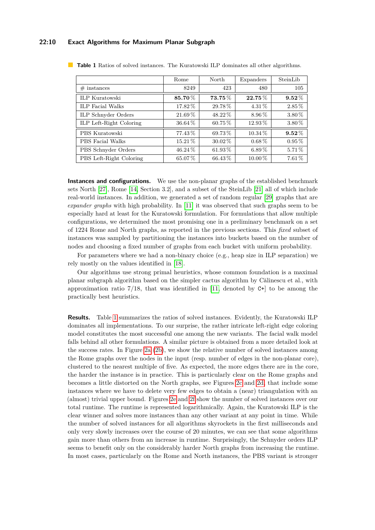## **22:10 Exact Algorithms for Maximum Planar Subgraph**

|                            | Rome      | North     | Expanders   | SteinLib   |
|----------------------------|-----------|-----------|-------------|------------|
| $\#$ instances             | 8249      | 423       | 480         | 105        |
| ILP Kuratowski             | 85.70%    | 73.75%    | $22.75\,\%$ | $9.52\,\%$ |
| <b>ILP</b> Facial Walks    | 17.82%    | 29.78%    | $4.31\%$    | $2.85\%$   |
| <b>ILP</b> Schnyder Orders | 21.69%    | 48.22%    | $8.96\,\%$  | $3.80\%$   |
| ILP Left-Right Coloring    | $36.64\%$ | 60.75%    | $12.93\,\%$ | $3.80\,\%$ |
| PBS Kuratowski             | 77.43%    | 69.73%    | $10.34\,\%$ | $9.52\%$   |
| <b>PBS</b> Facial Walks    | 15.21%    | $30.02\%$ | $0.68\%$    | $0.95\%$   |
| PBS Schnyder Orders        | 46.24%    | 61.93%    | $6.89\,\%$  | 5.71%      |
| PBS Left-Right Coloring    | 65.07%    | 66.43%    | $10.00\,\%$ | $7.61\%$   |

<span id="page-9-0"></span>**Table 1** Ratios of solved instances. The Kuratowski ILP dominates all other algorithms.

**Instances and configurations.** We use the non-planar graphs of the established benchmark sets North [\[27\]](#page-13-12), Rome [\[14,](#page-13-13) Section 3.2], and a subset of the SteinLib [\[21\]](#page-13-14) all of which include real-world instances. In addition, we generated a set of random regular [\[29\]](#page-13-15) graphs that are *expander graphs* with high probability. In [\[11\]](#page-12-5) it was observed that such graphs seem to be especially hard at least for the Kuratowski formulation. For formulations that allow multiple configurations, we determined the most promising one in a preliminary benchmark on a set of 1224 Rome and North graphs, as reported in the previous sections. This *fixed* subset of instances was sampled by partitioning the instances into buckets based on the number of nodes and choosing a fixed number of graphs from each bucket with uniform probability.

For parameters where we had a non-binary choice (e.g., heap size in ILP separation) we rely mostly on the values identified in [\[18\]](#page-13-16).

Our algorithms use strong primal heuristics, whose common foundation is a maximal planar subgraph algorithm based on the simpler cactus algorithm by Călinescu et al., with approximation ratio  $7/18$ , that was identified in [\[11,](#page-12-5) denoted by  $C^+$ ] to be among the practically best heuristics.

**Results.** Table [1](#page-9-0) summarizes the ratios of solved instances. Evidently, the Kuratowski ILP dominates all implementations. To our surprise, the rather intricate left-right edge coloring model constitutes the most successful one among the new variants. The facial walk model falls behind all other formulations. A similar picture is obtained from a more detailed look at the success rates. In Figure [2a](#page-10-0) [\(2b\)](#page-10-0), we show the relative number of solved instances among the Rome graphs over the nodes in the input (resp. number of edges in the non-planar core), clustered to the nearest multiple of five. As expected, the more edges there are in the core, the harder the instance is in practice. This is particularly clear on the Rome graphs and becomes a little distorted on the North graphs, see Figures [2c](#page-10-0) and [2d,](#page-10-0) that include some instances where we have to delete very few edges to obtain a (near) triangulation with an (almost) trivial upper bound. Figures [2e](#page-10-0) and [2f](#page-10-0) show the number of solved instances over our total runtime. The runtime is represented logarithmically. Again, the Kuratowski ILP is the clear winner and solves more instances than any other variant at any point in time. While the number of solved instances for all algorithms skyrockets in the first milliseconds and only very slowly increases over the course of 20 minutes, we can see that some algorithms gain more than others from an increase in runtime. Surprisingly, the Schnyder orders ILP seems to benefit only on the considerably harder North graphs from increasing the runtime. In most cases, particularly on the Rome and North instances, the PBS variant is stronger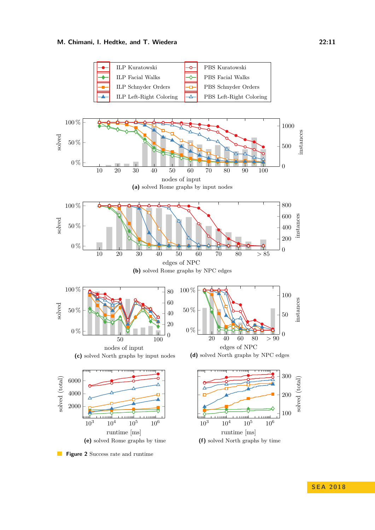<span id="page-10-0"></span>

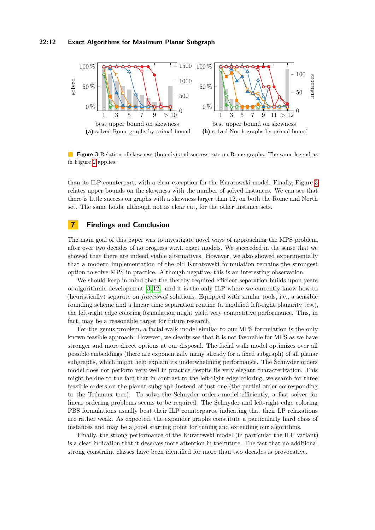### **22:12 Exact Algorithms for Maximum Planar Subgraph**

<span id="page-11-0"></span>

**Figure 3** Relation of skewness (bounds) and success rate on Rome graphs. The same legend as in Figure [2](#page-10-0) applies.

than its ILP counterpart, with a clear exception for the Kuratowski model. Finally, Figure [3](#page-11-0) relates upper bounds on the skewness with the number of solved instances. We can see that there is little success on graphs with a skewness larger than 12, on both the Rome and North set. The same holds, although not as clear cut, for the other instance sets.

# **7 Findings and Conclusion**

The main goal of this paper was to investigate novel ways of approaching the MPS problem, after over two decades of no progress w.r.t. exact models. We succeeded in the sense that we showed that there are indeed viable alternatives. However, we also showed experimentally that a modern implementation of the old Kuratowski formulation remains the strongest option to solve MPS in practice. Although negative, this is an interesting observation.

We should keep in mind that the thereby required efficient separation builds upon years of algorithmic development [\[3,](#page-12-11) [12\]](#page-12-7), and it is the only ILP where we currently know how to (heuristically) separate on *fractional* solutions. Equipped with similar tools, i.e., a sensible rounding scheme and a linear time separation routine (a modified left-right planarity test), the left-right edge coloring formulation might yield very competitive performance. This, in fact, may be a reasonable target for future research.

For the genus problem, a facial walk model similar to our MPS formulation is the only known feasible approach. However, we clearly see that it is not favorable for MPS as we have stronger and more direct options at our disposal. The facial walk model optimizes over all possible embeddings (there are exponentially many already for a fixed subgraph) of all planar subgraphs, which might help explain its underwhelming performance. The Schnyder orders model does not perform very well in practice despite its very elegant characterization. This might be due to the fact that in contrast to the left-right edge coloring, we search for three feasible orders on the planar subgraph instead of just one (the partial order corresponding to the Trémaux tree). To solve the Schnyder orders model efficiently, a fast solver for linear ordering problems seems to be required. The Schnyder and left-right edge coloring PBS formulations usually beat their ILP counterparts, indicating that their LP relaxations are rather weak. As expected, the expander graphs constitute a particularly hard class of instances and may be a good starting point for tuning and extending our algorithms.

Finally, the strong performance of the Kuratowski model (in particular the ILP variant) is a clear indication that it deserves more attention in the future. The fact that no additional strong constraint classes have been identified for more than two decades is provocative.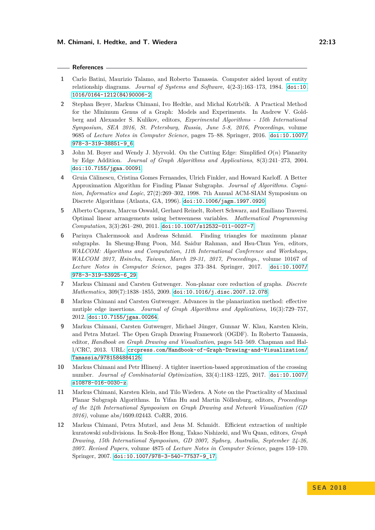#### **References**

- <span id="page-12-0"></span>**1** Carlo Batini, Maurizio Talamo, and Roberto Tamassia. Computer aided layout of entity relationship diagrams. *Journal of Systems and Software*, 4(2-3):163–173, 1984. [doi:10.](http://dx.doi.org/10.1016/0164-1212(84)90006-2) [1016/0164-1212\(84\)90006-2](http://dx.doi.org/10.1016/0164-1212(84)90006-2).
- <span id="page-12-8"></span>**2** Stephan Beyer, Markus Chimani, Ivo Hedtke, and Michal Kotrbčík. A Practical Method for the Minimum Genus of a Graph: Models and Experiments. In Andrew V. Goldberg and Alexander S. Kulikov, editors, *Experimental Algorithms - 15th International Symposium, SEA 2016, St. Petersburg, Russia, June 5-8, 2016, Proceedings*, volume 9685 of *Lecture Notes in Computer Science*, pages 75–88. Springer, 2016. [doi:10.1007/](http://dx.doi.org/10.1007/978-3-319-38851-9_6) [978-3-319-38851-9\\_6](http://dx.doi.org/10.1007/978-3-319-38851-9_6).
- <span id="page-12-11"></span>**3** John M. Boyer and Wendy J. Myrvold. On the Cutting Edge: Simplified *O*(*n*) Planarity by Edge Addition. *Journal of Graph Algorithms and Applications*, 8(3):241–273, 2004. [doi:10.7155/jgaa.00091](http://dx.doi.org/10.7155/jgaa.00091).
- <span id="page-12-3"></span>**4** Gruia Călinescu, Cristina Gomes Fernandes, Ulrich Finkler, and Howard Karloff. A Better Approximation Algorithm for Finding Planar Subgraphs. *Journal of Algorithms. Cognition, Informatics and Logic*, 27(2):269–302, 1998. 7th Annual ACM-SIAM Symposium on Discrete Algorithms (Atlanta, GA, 1996). [doi:10.1006/jagm.1997.0920](http://dx.doi.org/10.1006/jagm.1997.0920).
- <span id="page-12-9"></span>**5** Alberto Caprara, Marcus Oswald, Gerhard Reinelt, Robert Schwarz, and Emiliano Traversi. Optimal linear arrangements using betweenness variables. *Mathematical Programming Computation*, 3(3):261–280, 2011. [doi:10.1007/s12532-011-0027-7](http://dx.doi.org/10.1007/s12532-011-0027-7).
- <span id="page-12-4"></span>**6** Parinya Chalermsook and Andreas Schmid. Finding triangles for maximum planar subgraphs. In Sheung-Hung Poon, Md. Saidur Rahman, and Hsu-Chun Yen, editors, *WALCOM: Algorithms and Computation, 11th International Conference and Workshops, WALCOM 2017, Hsinchu, Taiwan, March 29-31, 2017, Proceedings.*, volume 10167 of *Lecture Notes in Computer Science*, pages 373–384. Springer, 2017. [doi:10.1007/](http://dx.doi.org/10.1007/978-3-319-53925-6_29) [978-3-319-53925-6\\_29](http://dx.doi.org/10.1007/978-3-319-53925-6_29).
- <span id="page-12-6"></span>**7** Markus Chimani and Carsten Gutwenger. Non-planar core reduction of graphs. *Discrete Mathematics*, 309(7):1838–1855, 2009. [doi:10.1016/j.disc.2007.12.078](http://dx.doi.org/10.1016/j.disc.2007.12.078).
- <span id="page-12-1"></span>**8** Markus Chimani and Carsten Gutwenger. Advances in the planarization method: effective mutiple edge insertions. *Journal of Graph Algorithms and Applications*, 16(3):729–757, 2012. [doi:10.7155/jgaa.00264](http://dx.doi.org/10.7155/jgaa.00264).
- <span id="page-12-10"></span>**9** Markus Chimani, Carsten Gutwenger, Michael Jünger, Gunnar W. Klau, Karsten Klein, and Petra Mutzel. The Open Graph Drawing Framework (OGDF). In Roberto Tamassia, editor, *Handbook on Graph Drawing and Visualization*, pages 543–569. Chapman and Hall/CRC, 2013. URL: [crcpress.com/Handbook-of-Graph-Drawing-and-Visualization/](crcpress.com/Handbook-of-Graph-Drawing-and-Visualization/Tamassia/9781584884125) [Tamassia/9781584884125](crcpress.com/Handbook-of-Graph-Drawing-and-Visualization/Tamassia/9781584884125).
- <span id="page-12-2"></span>**10** Markus Chimani and Petr Hlinený. A tighter insertion-based approximation of the crossing number. *Journal of Combinatorial Optimization*, 33(4):1183–1225, 2017. [doi:10.1007/](http://dx.doi.org/10.1007/s10878-016-0030-z) [s10878-016-0030-z](http://dx.doi.org/10.1007/s10878-016-0030-z).
- <span id="page-12-5"></span>**11** Markus Chimani, Karsten Klein, and Tilo Wiedera. A Note on the Practicality of Maximal Planar Subgraph Algorithms. In Yifan Hu and Martin Nöllenburg, editors, *Proceedings of the 24th International Symposium on Graph Drawing and Network Visualization (GD 2016)*, volume abs/1609.02443. CoRR, 2016.
- <span id="page-12-7"></span>**12** Markus Chimani, Petra Mutzel, and Jens M. Schmidt. Efficient extraction of multiple kuratowski subdivisions. In Seok-Hee Hong, Takao Nishizeki, and Wu Quan, editors, *Graph Drawing, 15th International Symposium, GD 2007, Sydney, Australia, September 24-26, 2007. Revised Papers*, volume 4875 of *Lecture Notes in Computer Science*, pages 159–170. Springer, 2007. [doi:10.1007/978-3-540-77537-9\\_17](http://dx.doi.org/10.1007/978-3-540-77537-9_17).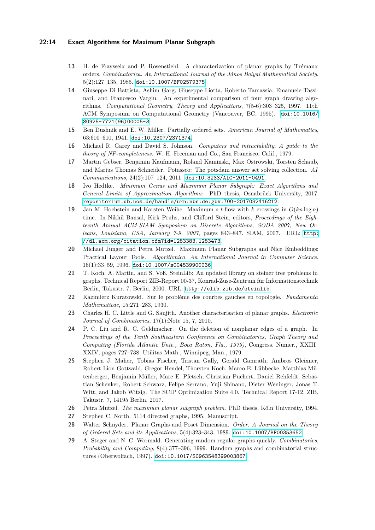#### **22:14 Exact Algorithms for Maximum Planar Subgraph**

- <span id="page-13-9"></span>**13** H. de Fraysseix and P. Rosenstiehl. A characterization of planar graphs by Trémaux orders. *Combinatorica. An International Journal of the János Bolyai Mathematical Society*, 5(2):127–135, 1985. [doi:10.1007/BF02579375](http://dx.doi.org/10.1007/BF02579375).
- <span id="page-13-13"></span>**14** Giuseppe Di Battista, Ashim Garg, Giuseppe Liotta, Roberto Tamassia, Emanuele Tassinari, and Francesco Vargiu. An experimental comparison of four graph drawing algorithms. *Computational Geometry. Theory and Applications*, 7(5-6):303–325, 1997. 11th ACM Symposium on Computational Geometry (Vancouver, BC, 1995). [doi:10.1016/](http://dx.doi.org/10.1016/S0925-7721(96)00005-3) [S0925-7721\(96\)00005-3](http://dx.doi.org/10.1016/S0925-7721(96)00005-3).
- <span id="page-13-7"></span>**15** Ben Dushnik and E. W. Miller. Partially ordered sets. *American Journal of Mathematics*, 63:600–610, 1941. [doi:10.2307/2371374](http://dx.doi.org/10.2307/2371374).
- <span id="page-13-0"></span>**16** Michael R. Garey and David S. Johnson. *Computers and intractability. A guide to the theory of NP-completeness*. W. H. Freeman and Co., San Francisco, Calif., 1979.
- <span id="page-13-11"></span>**17** Martin Gebser, Benjamin Kaufmann, Roland Kaminski, Max Ostrowski, Torsten Schaub, and Marius Thomas Schneider. Potassco: The potsdam answer set solving collection. *AI Communications*, 24(2):107–124, 2011. [doi:10.3233/AIC-2011-0491](http://dx.doi.org/10.3233/AIC-2011-0491).
- <span id="page-13-16"></span>**18** Ivo Hedtke. *Minimum Genus and Maximum Planar Subgraph: Exact Algorithms and General Limits of Approximation Algorithms*. PhD thesis, Osnabrück University, 2017. <repositorium.ub.uos.de/handle/urn:nbn:de:gbv:700-2017082416212>.
- <span id="page-13-2"></span>**19** Jan M. Hochstein and Karsten Weihe. Maximum *s*-*t*-flow with *k* crossings in *O*(*kn* log *n*) time. In Nikhil Bansal, Kirk Pruhs, and Clifford Stein, editors, *Proceedings of the Eighteenth Annual ACM-SIAM Symposium on Discrete Algorithms, SODA 2007, New Orleans, Louisiana, USA, January 7-9, 2007*, pages 843–847. SIAM, 2007. URL: [http:](http://dl.acm.org/citation.cfm?id=1283383.1283473) [//dl.acm.org/citation.cfm?id=1283383.1283473](http://dl.acm.org/citation.cfm?id=1283383.1283473).
- <span id="page-13-6"></span>**20** Michael Jünger and Petra Mutzel. Maximum Planar Subgraphs and Nice Embeddings: Practical Layout Tools. *Algorithmica. An International Journal in Computer Science*, 16(1):33–59, 1996. [doi:10.1007/s004539900036](http://dx.doi.org/10.1007/s004539900036).
- <span id="page-13-14"></span>**21** T. Koch, A. Martin, and S. Voß. SteinLib: An updated library on steiner tree problems in graphs. Technical Report ZIB-Report 00-37, Konrad-Zuse-Zentrum für Informationstechnik Berlin, Takustr. 7, Berlin, 2000. URL: <http://elib.zib.de/steinlib>.
- <span id="page-13-4"></span>**22** Kazimierz Kuratowski. Sur le problème des courbes gauches en topologie. *Fundamenta Mathematicae*, 15:271–283, 1930.
- <span id="page-13-5"></span>**23** Charles H. C. Little and G. Sanjith. Another characterisation of planar graphs. *Electronic Journal of Combinatorics*, 17(1):Note 15, 7, 2010.
- <span id="page-13-1"></span>**24** P. C. Liu and R. C. Geldmacher. On the deletion of nonplanar edges of a graph. In *Proceedings of the Tenth Southeastern Conference on Combinatorics, Graph Theory and Computing (Florida Atlantic Univ., Boca Raton, Fla., 1979)*, Congress. Numer., XXIII– XXIV, pages 727–738. Utilitas Math., Winnipeg, Man., 1979.
- <span id="page-13-10"></span>**25** Stephen J. Maher, Tobias Fischer, Tristan Gally, Gerald Gamrath, Ambros Gleixner, Robert Lion Gottwald, Gregor Hendel, Thorsten Koch, Marco E. Lübbecke, Matthias Miltenberger, Benjamin Müller, Marc E. Pfetsch, Christian Puchert, Daniel Rehfeldt, Sebastian Schenker, Robert Schwarz, Felipe Serrano, Yuji Shinano, Dieter Weninger, Jonas T. Witt, and Jakob Witzig. The SCIP Optimization Suite 4.0. Technical Report 17-12, ZIB, Takustr. 7, 14195 Berlin, 2017.
- <span id="page-13-3"></span>**26** Petra Mutzel. *The maximum planar subgraph problem*. PhD thesis, Köln University, 1994.
- <span id="page-13-12"></span>**27** Stephen C. North. 5114 directed graphs, 1995. Manuscript.
- <span id="page-13-8"></span>**28** Walter Schnyder. Planar Graphs and Poset Dimension. *Order. A Journal on the Theory of Ordered Sets and its Applications*, 5(4):323–343, 1989. [doi:10.1007/BF00353652](http://dx.doi.org/10.1007/BF00353652).
- <span id="page-13-15"></span>**29** A. Steger and N. C. Wormald. Generating random regular graphs quickly. *Combinatorics, Probability and Computing*, 8(4):377–396, 1999. Random graphs and combinatorial structures (Oberwolfach, 1997). [doi:10.1017/S0963548399003867](http://dx.doi.org/10.1017/S0963548399003867).